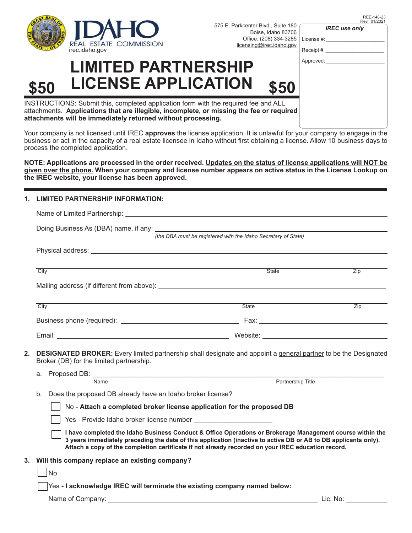

Office: (208) 334-3285 | License #: \_\_\_\_\_\_\_\_\_\_\_\_\_\_\_\_\_\_\_\_\_\_ 575 E. Parkcenter Blvd., Suite 180 Boise, Idaho 83706

| REE-148-23   |
|--------------|
| Rev. 01/2021 |

| <b>IREC</b> use only |  |  |
|----------------------|--|--|
|----------------------|--|--|

| nsing@irec.idaho.gov               | Receipt #: |
|------------------------------------|------------|
|                                    | Approved:  |
| \$50                               |            |
| d fee and ALL<br>e fee or required |            |

INSTRUCTIONS: Submit this, completed application form with the required attachments. Applications that are illegible, incomplete, or missing the **attachments will be immediately returned without processing.**

**LIMITED PARTNERSHI** 

**\$50 LICENSE APPLICATION \$50**

Your company is not licensed until IREC **approves** the license application. It is unlawful for your company to engage in the business or act in the capacity of a real estate licensee in Idaho without first obtaining a license. Allow 10 business days to process the completed application.

**NOTE: Applications are processed in the order received. Updates on the status of license applications will NOT be given over the phone. When your company and license number appears on active status in the License Lookup on the IREC website, your license has been approved.** 

## **1. LIMITED PARTNERSHIP INFORMATION:**

| (the DBA must be registered with the Idaho Secretary of State)<br>Physical address: with the control of the control of the control of the control of the control of the control of the control of the control of the control of the control of the control of the control of the control of the |                                                                                                                                                                                                                                                                                                                                    |                   |                                                  |
|-------------------------------------------------------------------------------------------------------------------------------------------------------------------------------------------------------------------------------------------------------------------------------------------------|------------------------------------------------------------------------------------------------------------------------------------------------------------------------------------------------------------------------------------------------------------------------------------------------------------------------------------|-------------------|--------------------------------------------------|
|                                                                                                                                                                                                                                                                                                 |                                                                                                                                                                                                                                                                                                                                    |                   |                                                  |
|                                                                                                                                                                                                                                                                                                 |                                                                                                                                                                                                                                                                                                                                    |                   |                                                  |
|                                                                                                                                                                                                                                                                                                 | City                                                                                                                                                                                                                                                                                                                               | State             | $\overline{Zip}$                                 |
|                                                                                                                                                                                                                                                                                                 |                                                                                                                                                                                                                                                                                                                                    |                   |                                                  |
|                                                                                                                                                                                                                                                                                                 |                                                                                                                                                                                                                                                                                                                                    |                   |                                                  |
| 2.                                                                                                                                                                                                                                                                                              | <b>DESIGNATED BROKER:</b> Every limited partnership shall designate and appoint a general partner to be the Designated<br>Broker (DB) for the limited partnership.<br>а.                                                                                                                                                           |                   |                                                  |
|                                                                                                                                                                                                                                                                                                 | Name                                                                                                                                                                                                                                                                                                                               | Partnership Title |                                                  |
|                                                                                                                                                                                                                                                                                                 | b.<br>Does the proposed DB already have an Idaho broker license?                                                                                                                                                                                                                                                                   |                   |                                                  |
|                                                                                                                                                                                                                                                                                                 | No - Attach a completed broker license application for the proposed DB                                                                                                                                                                                                                                                             |                   |                                                  |
|                                                                                                                                                                                                                                                                                                 | Yes - Provide Idaho broker license number                                                                                                                                                                                                                                                                                          |                   |                                                  |
|                                                                                                                                                                                                                                                                                                 | I have completed the Idaho Business Conduct & Office Operations or Brokerage Management course within the<br>3 years immediately preceding the date of this application (inactive to active DB or AB to DB applicants only).<br>Attach a copy of the completion certificate if not already recorded on your IREC education record. |                   |                                                  |
| 3.                                                                                                                                                                                                                                                                                              | Will this company replace an existing company?                                                                                                                                                                                                                                                                                     |                   |                                                  |
|                                                                                                                                                                                                                                                                                                 | <b>No</b>                                                                                                                                                                                                                                                                                                                          |                   |                                                  |
|                                                                                                                                                                                                                                                                                                 | Yes - I acknowledge IREC will terminate the existing company named below:                                                                                                                                                                                                                                                          |                   |                                                  |
|                                                                                                                                                                                                                                                                                                 | Name of Company: <b>All and Security Company</b> and Company and Company and Company and Company and Company and Company                                                                                                                                                                                                           |                   | Lic. No: <b>All According to the U.S. Street</b> |